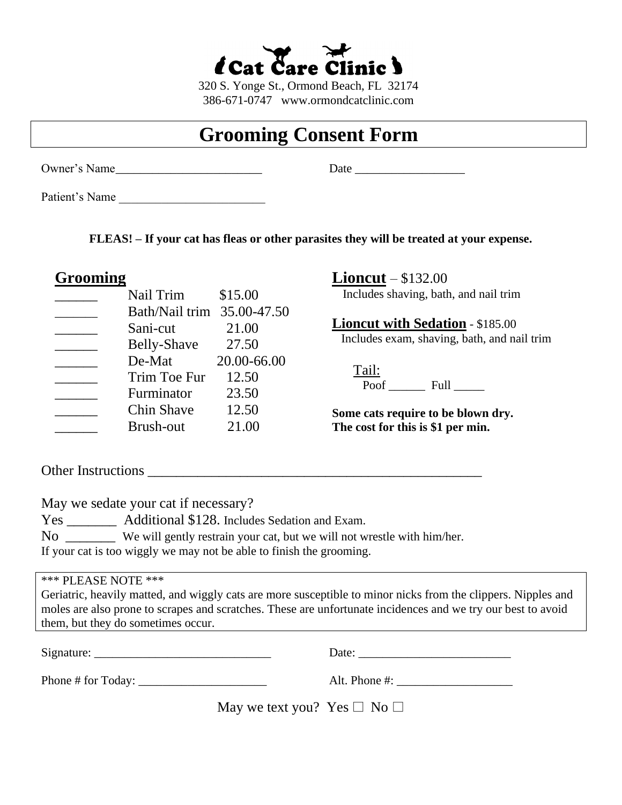

320 S. Yonge St., Ormond Beach, FL 32174 386-671-0747 www.ormondcatclinic.com

## **Grooming Consent Form**

Owner's Name\_\_\_\_\_\_\_\_\_\_\_\_\_\_\_\_\_\_\_\_\_\_\_\_ Date \_\_\_\_\_\_\_\_\_\_\_\_\_\_\_\_\_\_

Patient's Name

**FLEAS! – If your cat has fleas or other parasites they will be treated at your expense.**

## **Grooming**

| Nail Trim         | \$15.00     |
|-------------------|-------------|
| Bath/Nail trim    | 35.00-47.50 |
| Sani-cut          | 21.00       |
| Belly-Shave       | 27.50       |
| De-Mat            | 20.00-66.00 |
| Trim Toe Fur      | 12.50       |
| Furminator        | 23.50       |
| <b>Chin Shave</b> | 12.50       |
| Brush-out         | 21.00       |

**Lioncut** – \$132.00

Includes shaving, bath, and nail trim

**Lioncut with Sedation** - \$185.00 Includes exam, shaving, bath, and nail trim

 Tail: Poof Full Full

**Some cats require to be blown dry. The cost for this is \$1 per min.**

Other Instructions

May we sedate your cat if necessary?

Yes \_\_\_\_\_\_\_\_\_ Additional \$128. Includes Sedation and Exam.

No \_\_\_\_\_\_\_ We will gently restrain your cat, but we will not wrestle with him/her.

If your cat is too wiggly we may not be able to finish the grooming.

\*\*\* PLEASE NOTE \*\*\*

Geriatric, heavily matted, and wiggly cats are more susceptible to minor nicks from the clippers. Nipples and moles are also prone to scrapes and scratches. These are unfortunate incidences and we try our best to avoid them, but they do sometimes occur.

| Phone $\#$ for Today: $\qquad \qquad$ |                                       | Alt. Phone $\#$ : |
|---------------------------------------|---------------------------------------|-------------------|
|                                       | May we text you? Yes $\Box$ No $\Box$ |                   |